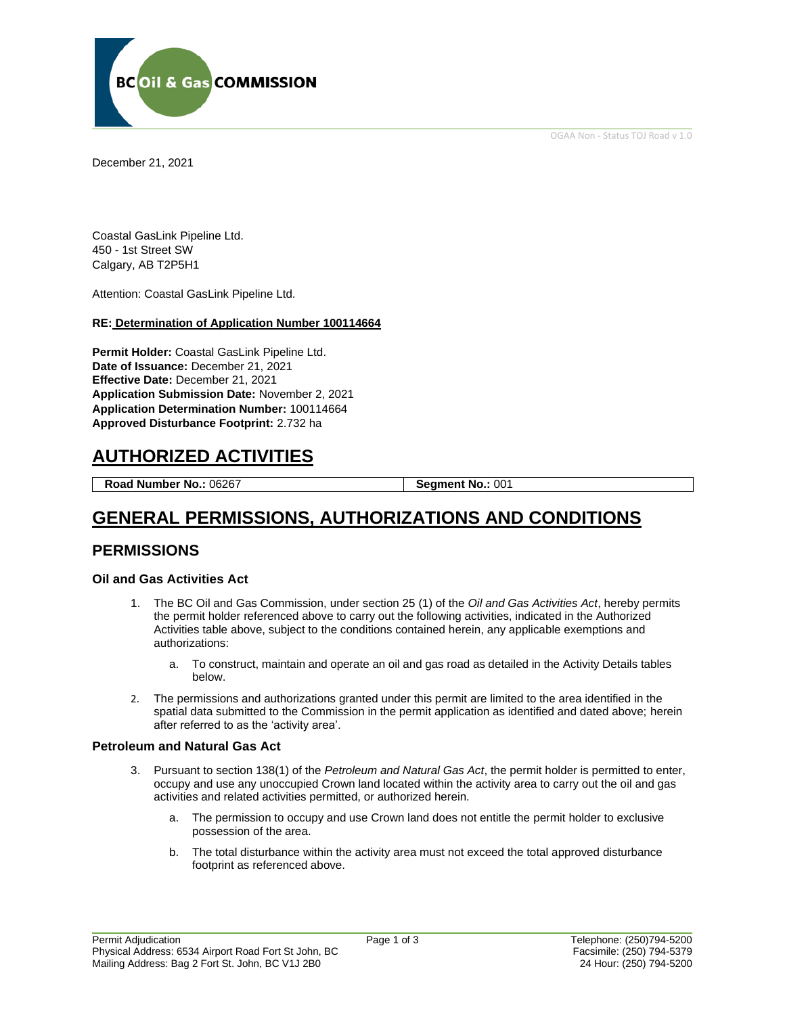OGAA Non - Status TOJ Road v 1.0



December 21, 2021

Coastal GasLink Pipeline Ltd. 450 - 1st Street SW Calgary, AB T2P5H1

Attention: Coastal GasLink Pipeline Ltd.

### **RE: Determination of Application Number 100114664**

**Permit Holder:** Coastal GasLink Pipeline Ltd. **Date of Issuance:** December 21, 2021 **Effective Date:** December 21, 2021 **Application Submission Date:** November 2, 2021 **Application Determination Number:** 100114664 **Approved Disturbance Footprint:** 2.732 ha

# **AUTHORIZED ACTIVITIES**

**Road Number No.: 06267 Segment No.: 001** 

# **GENERAL PERMISSIONS, AUTHORIZATIONS AND CONDITIONS**

## **PERMISSIONS**

#### **Oil and Gas Activities Act**

- 1. The BC Oil and Gas Commission, under section 25 (1) of the *Oil and Gas Activities Act*, hereby permits the permit holder referenced above to carry out the following activities, indicated in the Authorized Activities table above, subject to the conditions contained herein, any applicable exemptions and authorizations:
	- a. To construct, maintain and operate an oil and gas road as detailed in the Activity Details tables below.
- 2. The permissions and authorizations granted under this permit are limited to the area identified in the spatial data submitted to the Commission in the permit application as identified and dated above; herein after referred to as the 'activity area'.

#### **Petroleum and Natural Gas Act**

- 3. Pursuant to section 138(1) of the *Petroleum and Natural Gas Act*, the permit holder is permitted to enter, occupy and use any unoccupied Crown land located within the activity area to carry out the oil and gas activities and related activities permitted, or authorized herein.
	- a. The permission to occupy and use Crown land does not entitle the permit holder to exclusive possession of the area.
	- b. The total disturbance within the activity area must not exceed the total approved disturbance footprint as referenced above.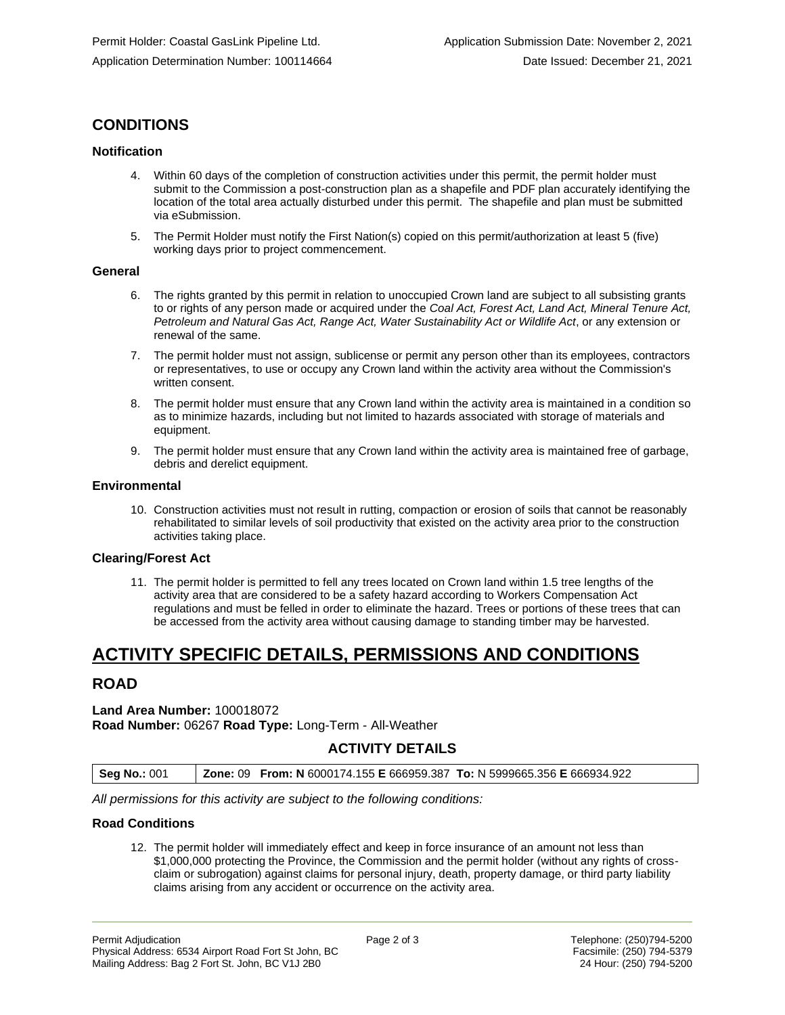# **CONDITIONS**

#### **Notification**

- Within 60 days of the completion of construction activities under this permit, the permit holder must submit to the Commission a post-construction plan as a shapefile and PDF plan accurately identifying the location of the total area actually disturbed under this permit. The shapefile and plan must be submitted via eSubmission.
- 5. The Permit Holder must notify the First Nation(s) copied on this permit/authorization at least 5 (five) working days prior to project commencement.

#### **General**

- 6. The rights granted by this permit in relation to unoccupied Crown land are subject to all subsisting grants to or rights of any person made or acquired under the *Coal Act, Forest Act, Land Act, Mineral Tenure Act, Petroleum and Natural Gas Act, Range Act, Water Sustainability Act or Wildlife Act*, or any extension or renewal of the same.
- 7. The permit holder must not assign, sublicense or permit any person other than its employees, contractors or representatives, to use or occupy any Crown land within the activity area without the Commission's written consent.
- 8. The permit holder must ensure that any Crown land within the activity area is maintained in a condition so as to minimize hazards, including but not limited to hazards associated with storage of materials and equipment.
- 9. The permit holder must ensure that any Crown land within the activity area is maintained free of garbage, debris and derelict equipment.

#### **Environmental**

10. Construction activities must not result in rutting, compaction or erosion of soils that cannot be reasonably rehabilitated to similar levels of soil productivity that existed on the activity area prior to the construction activities taking place.

#### **Clearing/Forest Act**

11. The permit holder is permitted to fell any trees located on Crown land within 1.5 tree lengths of the activity area that are considered to be a safety hazard according to Workers Compensation Act regulations and must be felled in order to eliminate the hazard. Trees or portions of these trees that can be accessed from the activity area without causing damage to standing timber may be harvested.

# **ACTIVITY SPECIFIC DETAILS, PERMISSIONS AND CONDITIONS**

## **ROAD**

### **Land Area Number:** 100018072 **Road Number:** 06267 **Road Type:** Long-Term - All-Weather

## **ACTIVITY DETAILS**

| <b>Seg No.: 001</b> | <b>Zone: 09 From: N 6000174.155 E 666959.387 To: N 5999665.356 E 666934.922</b> |  |
|---------------------|---------------------------------------------------------------------------------|--|
|                     |                                                                                 |  |

*All permissions for this activity are subject to the following conditions:* 

#### **Road Conditions**

12. The permit holder will immediately effect and keep in force insurance of an amount not less than \$1,000,000 protecting the Province, the Commission and the permit holder (without any rights of crossclaim or subrogation) against claims for personal injury, death, property damage, or third party liability claims arising from any accident or occurrence on the activity area.